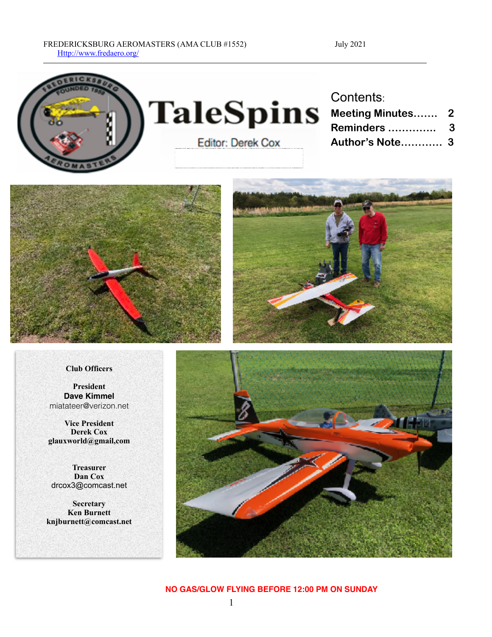#### FREDERICKSBURG AEROMASTERS (AMA CLUB #1552) July 2021 [Http://www.fredaero.org/](http://www.fredaero.org/)



# **TaleSpins** Editor: Derek Cox

# Contents:

| <b>Meeting Minutes 2</b> |   |
|--------------------------|---|
| Reminders                | 3 |
| Author's Note 3          |   |



#### **Club Officers**

**President Dave Kimmel**  miatateer@verizon.net

**Vice President Derek Cox glauxworld@gmail,com**

**Treasurer Dan Cox** drcox3@comcast.net

**Secretary Ken Burnett knjburnett@comcast.net**



#### **NO GAS/GLOW FLYING BEFORE 12:00 PM ON SUNDAY**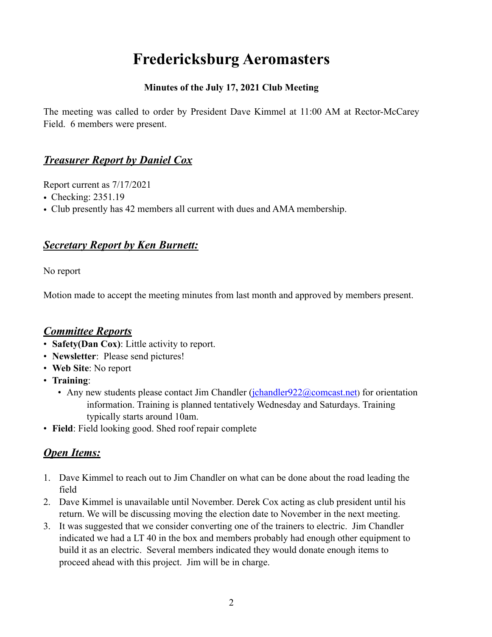# **Fredericksburg Aeromasters**

#### **Minutes of the July 17, 2021 Club Meeting**

The meeting was called to order by President Dave Kimmel at 11:00 AM at Rector-McCarey Field. 6 members were present.

#### *Treasurer Report by Daniel Cox*

Report current as 7/17/2021

- Checking: 2351.19
- Club presently has 42 members all current with dues and AMA membership.

#### *Secretary Report by Ken Burnett:*

No report

Motion made to accept the meeting minutes from last month and approved by members present.

#### *Committee Reports*

- **Safety(Dan Cox)**: Little activity to report.
- **Newsletter**: Please send pictures!
- **Web Site**: No report
- **Training**:
	- Any new students please contact Jim Chandler  $(i$ chandler $922$  @comcast.net) for orientation information. Training is planned tentatively Wednesday and Saturdays. Training typically starts around 10am.
- **Field**: Field looking good. Shed roof repair complete

### *Open Items:*

- 1. Dave Kimmel to reach out to Jim Chandler on what can be done about the road leading the field
- 2. Dave Kimmel is unavailable until November. Derek Cox acting as club president until his return. We will be discussing moving the election date to November in the next meeting.
- 3. It was suggested that we consider converting one of the trainers to electric. Jim Chandler indicated we had a LT 40 in the box and members probably had enough other equipment to build it as an electric. Several members indicated they would donate enough items to proceed ahead with this project. Jim will be in charge.